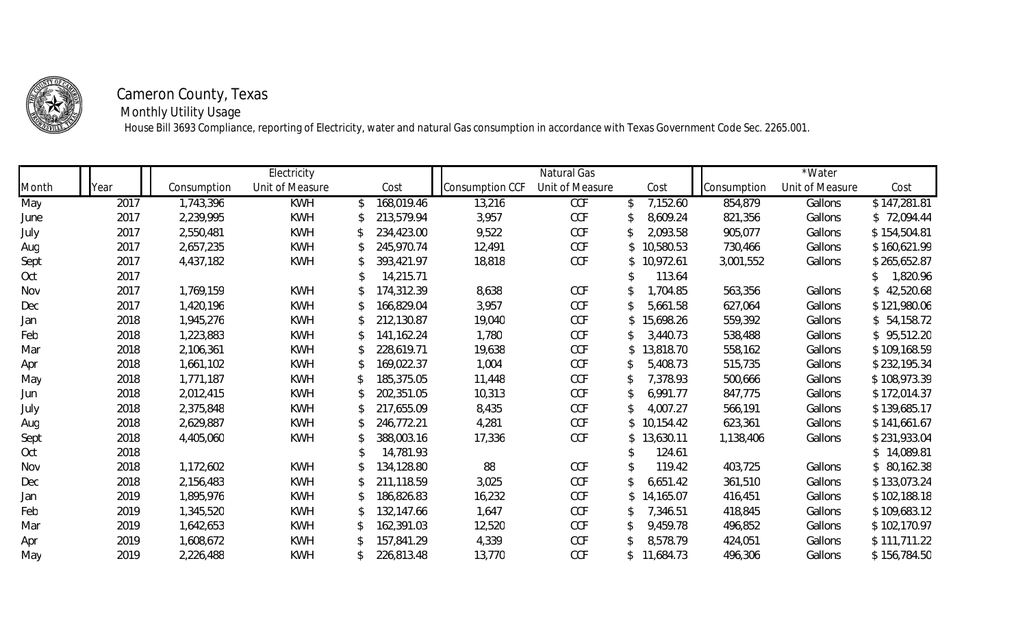

## **Cameron County, Texas**

 **Monthly Utility Usage**

House Bill 3693 Compliance, reporting of Electricity, water and natural Gas consumption in accordance with Texas Government Code Sec. 2265.001.

|       |      |             | Electricity     |               |            |                 | Natural Gas     |                             |                    | *Water          |              |
|-------|------|-------------|-----------------|---------------|------------|-----------------|-----------------|-----------------------------|--------------------|-----------------|--------------|
| Month | Year | Consumption | Unit of Measure |               | Cost       | Consumption CCF | Unit of Measure | Cost                        | <b>Consumption</b> | Unit of Measure | Cost         |
| May   | 2017 | 1,743,396   | <b>KWH</b>      | $\mathcal{L}$ | 168,019.46 | 13,216          | CCF             | 7,152.60<br>$\mathcal{L}$   | 854,879            | Gallons         | \$147,281.81 |
| June  | 2017 | 2,239,995   | KWH             |               | 213,579.94 | 3,957           | CCF             | 8,609.24                    | 821,356            | Gallons         | \$72,094.44  |
| July  | 2017 | 2,550,481   | KWH             |               | 234,423.00 | 9,522           | CCF             | 2,093.58                    | 905,077            | Gallons         | \$154,504.81 |
| Aug   | 2017 | 2,657,235   | KWH             |               | 245,970.74 | 12,491          | CCF             | 10,580.53<br>$\mathbb{S}^-$ | 730,466            | Gallons         | \$160,621.99 |
| Sept  | 2017 | 4,437,182   | KWH             |               | 393,421.97 | 18,818          | CCF             | \$10,972.61                 | 3,001,552          | Gallons         | \$265,652.87 |
| Oct   | 2017 |             |                 |               | 14,215.71  |                 |                 | 113.64                      |                    |                 | 1,820.96     |
| Nov   | 2017 | 1,769,159   | KWH             |               | 174,312.39 | 8,638           | CCF             | 1,704.85                    | 563,356            | Gallons         | \$42,520.68  |
| Dec   | 2017 | 1,420,196   | KWH             |               | 166,829.04 | 3,957           | CCF             | 5,661.58                    | 627,064            | Gallons         | \$121,980.06 |
| Jan   | 2018 | 1,945,276   | KWH             |               | 212,130.87 | 19,040          | CCF             | \$15,698.26                 | 559,392            | Gallons         | \$54,158.72  |
| Feb   | 2018 | 1,223,883   | KWH             |               | 141,162.24 | 1,780           | CCF             | 3,440.73                    | 538,488            | Gallons         | \$95,512.20  |
| Mar   | 2018 | 2,106,361   | KWH             |               | 228,619.71 | 19,638          | CCF             | 13,818.70<br>$\mathbb{S}^-$ | 558,162            | Gallons         | \$109,168.59 |
| Apr   | 2018 | 1,661,102   | KWH             |               | 169,022.37 | 1,004           | CCF             | 5,408.73                    | 515,735            | Gallons         | \$232,195.34 |
| May   | 2018 | 1,771,187   | KWH             |               | 185,375.05 | 11,448          | CCF             | 7,378.93                    | 500,666            | Gallons         | \$108,973.39 |
| Jun   | 2018 | 2,012,415   | KWH             |               | 202,351.05 | 10,313          | CCF             | 6,991.77                    | 847,775            | Gallons         | \$172,014.37 |
| July  | 2018 | 2,375,848   | KWH             |               | 217,655.09 | 8,435           | CCF             | 4,007.27                    | 566,191            | Gallons         | \$139,685.17 |
| Aug   | 2018 | 2,629,887   | KWH             |               | 246,772.21 | 4,281           | CCF             | \$10,154.42                 | 623,361            | Gallons         | \$141,661.67 |
| Sept  | 2018 | 4,405,060   | KWH             |               | 388,003.16 | 17,336          | CCF             | \$13,630.11                 | 1,138,406          | Gallons         | \$231,933.04 |
| Oct   | 2018 |             |                 |               | 14,781.93  |                 |                 | 124.61                      |                    |                 | \$14,089.81  |
| Nov   | 2018 | 1,172,602   | KWH             |               | 134,128.80 | 88              | CCF             | 119.42                      | 403,725            | Gallons         | \$80,162.38  |
| Dec   | 2018 | 2,156,483   | KWH             |               | 211,118.59 | 3,025           | CCF             | 6,651.42                    | 361,510            | Gallons         | \$133,073.24 |
| Jan   | 2019 | 1,895,976   | KWH             |               | 186,826.83 | 16,232          | CCF             | 14,165.07                   | 416,451            | Gallons         | \$102,188.18 |
| Feb   | 2019 | 1,345,520   | KWH             |               | 132,147.66 | 1,647           | CCF             | 7,346.51                    | 418,845            | Gallons         | \$109,683.12 |
| Mar   | 2019 | 1,642,653   | KWH             |               | 162,391.03 | 12,520          | CCF             | 9,459.78                    | 496,852            | Gallons         | \$102,170.97 |
| Apr   | 2019 | 1,608,672   | KWH             |               | 157,841.29 | 4,339           | CCF             | 8,578.79                    | 424,051            | Gallons         | \$111,711.22 |
| May   | 2019 | 2,226,488   | KWH             |               | 226,813.48 | 13,770          | CCF             | \$11,684.73                 | 496,306            | Gallons         | \$156,784.50 |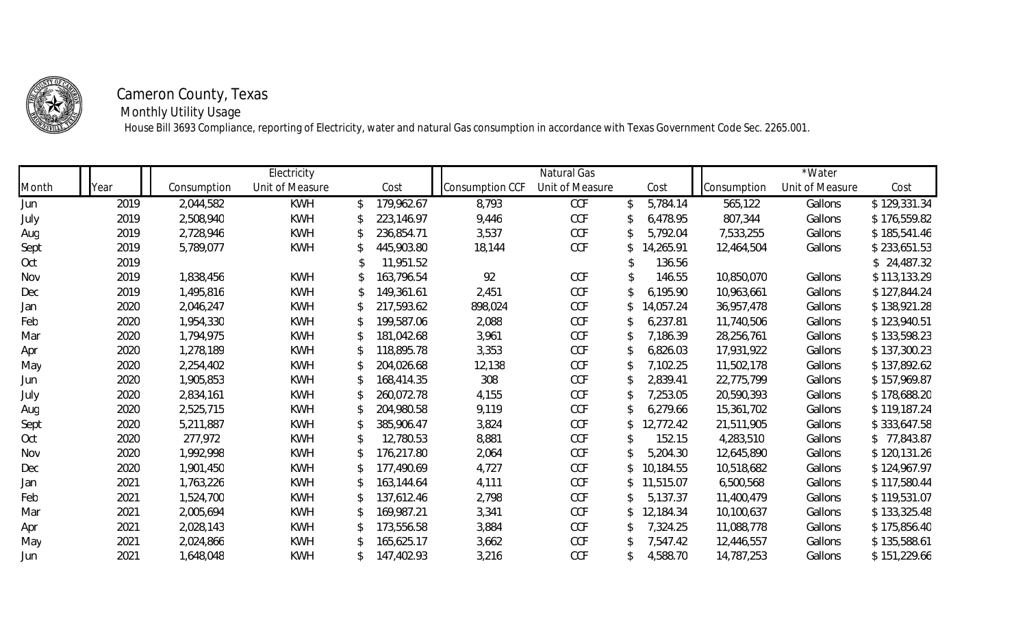

## **Cameron County, Texas**

 **Monthly Utility Usage**

House Bill 3693 Compliance, reporting of Electricity, water and natural Gas consumption in accordance with Texas Government Code Sec. 2265.001.

|       |      |             | Electricity     |    |            |                 | Natural Gas     |              |           |             | *Water          |              |
|-------|------|-------------|-----------------|----|------------|-----------------|-----------------|--------------|-----------|-------------|-----------------|--------------|
| Month | ′ear | Consumption | Unit of Measure |    | Cost       | consumption CCF | Unit of Measure |              | Cost      | consumption | Unit of Measure | Cost         |
| Jun   | 2019 | 2,044,582   | KWH             |    | 179,962.67 | 8,793           | CCF             | $\mathbb{S}$ | 5,784.14  | 565,122     | Gallons         | \$129,331.34 |
| July  | 2019 | 2,508,940   | KWH             |    | 223,146.97 | 9,446           | CCF             |              | 6,478.95  | 807,344     | Gallons         | \$176,559.82 |
| Aug   | 2019 | 2,728,946   | KWH             |    | 236,854.71 | 3,537           | CCF             |              | 5,792.04  | 7,533,255   | Gallons         | \$185,541.46 |
| Sept  | 2019 | 5,789,077   | KWH             |    | 445,903.80 | 18,144          | CCF             |              | 14,265.91 | 12,464,504  | Gallons         | \$233,651.53 |
| Oct   | 2019 |             |                 |    | 11,951.52  |                 |                 |              | 136.56    |             |                 | \$24,487.32  |
| Nov   | 2019 | 1,838,456   | KWH             |    | 163,796.54 | 92              | CCF             |              | 146.55    | 10,850,070  | Gallons         | \$113,133.29 |
| Dec   | 2019 | 1,495,816   | KWH             |    | 149,361.61 | 2,451           | CCF             |              | 6,195.90  | 10,963,661  | Gallons         | \$127,844.24 |
| Jan   | 2020 | 2,046,247   | KWH             |    | 217,593.62 | 898,024         | CCF             |              | 14,057.24 | 36,957,478  | Gallons         | \$138,921.28 |
| Feb   | 2020 | 1,954,330   | KWH             |    | 199,587.06 | 2,088           | CCF             |              | 6,237.81  | 11,740,506  | Gallons         | \$123,940.51 |
| Mar   | 2020 | 1,794,975   | KWH             |    | 181,042.68 | 3,961           | CCF             |              | 7,186.39  | 28,256,761  | Gallons         | \$133,598.23 |
| Apr   | 2020 | 1,278,189   | KWH             |    | 118,895.78 | 3,353           | CCF             |              | 6,826.03  | 17,931,922  | Gallons         | \$137,300.23 |
| May   | 2020 | 2,254,402   | KWH             |    | 204,026.68 | 12,138          | CCF             |              | 7,102.25  | 11,502,178  | Gallons         | \$137,892.62 |
| Jun   | 2020 | 1,905,853   | KWH             |    | 168,414.35 | 308             | CCF             |              | 2,839.41  | 22,775,799  | Gallons         | \$157,969.87 |
| July  | 2020 | 2,834,161   | KWH             |    | 260,072.78 | 4,155           | CCF             |              | 7,253.05  | 20,590,393  | Gallons         | \$178,688.20 |
| Aug   | 2020 | 2,525,715   | KWH             |    | 204,980.58 | 9,119           | CCF             |              | 6,279.66  | 15,361,702  | Gallons         | \$119,187.24 |
| Sept  | 2020 | 5,211,887   | KWH             |    | 385,906.47 | 3,824           | CCF             |              | 12,772.42 | 21,511,905  | Gallons         | \$333,647.58 |
| Oct   | 2020 | 277,972     | KWH             |    | 12,780.53  | 8,881           | CCF             |              | 152.15    | 4,283,510   | Gallons         | \$77,843.87  |
| Nov   | 2020 | 1,992,998   | KWH             |    | 176,217.80 | 2,064           | CCF             |              | 5,204.30  | 12,645,890  | Gallons         | \$120,131.26 |
| Dec   | 2020 | 1,901,450   | KWH             |    | 177,490.69 | 4,727           | CCF             |              | 10,184.55 | 10,518,682  | Gallons         | \$124,967.97 |
| Jan   | 2021 | 1,763,226   | KWH             |    | 163,144.64 | 4,111           | CCF             | S.           | 11,515.07 | 6,500,568   | Gallons         | \$117,580.44 |
| Feb   | 2021 | 1,524,700   | KWH             |    | 137,612.46 | 2,798           | CCF             |              | 5,137.37  | 11,400,479  | Gallons         | \$119,531.07 |
| Mar   | 2021 | 2,005,694   | KWH             |    | 169,987.21 | 3,341           | CCF             |              | 12,184.34 | 10,100,637  | Gallons         | \$133,325.48 |
| Apr   | 2021 | 2,028,143   | KWH             |    | 173,556.58 | 3,884           | CCF             |              | 7,324.25  | 11,088,778  | Gallons         | \$175,856.40 |
| May   | 2021 | 2,024,866   | KWH             |    | 165,625.17 | 3,662           | CCF             |              | 7,547.42  | 12,446,557  | Gallons         | \$135,588.61 |
| Jun   | 2021 | 1,648,048   | KWH             | S. | 147,402.93 | 3,216           | CCF             | P.           | 4,588.70  | 14,787,253  | Gallons         | \$151,229.66 |